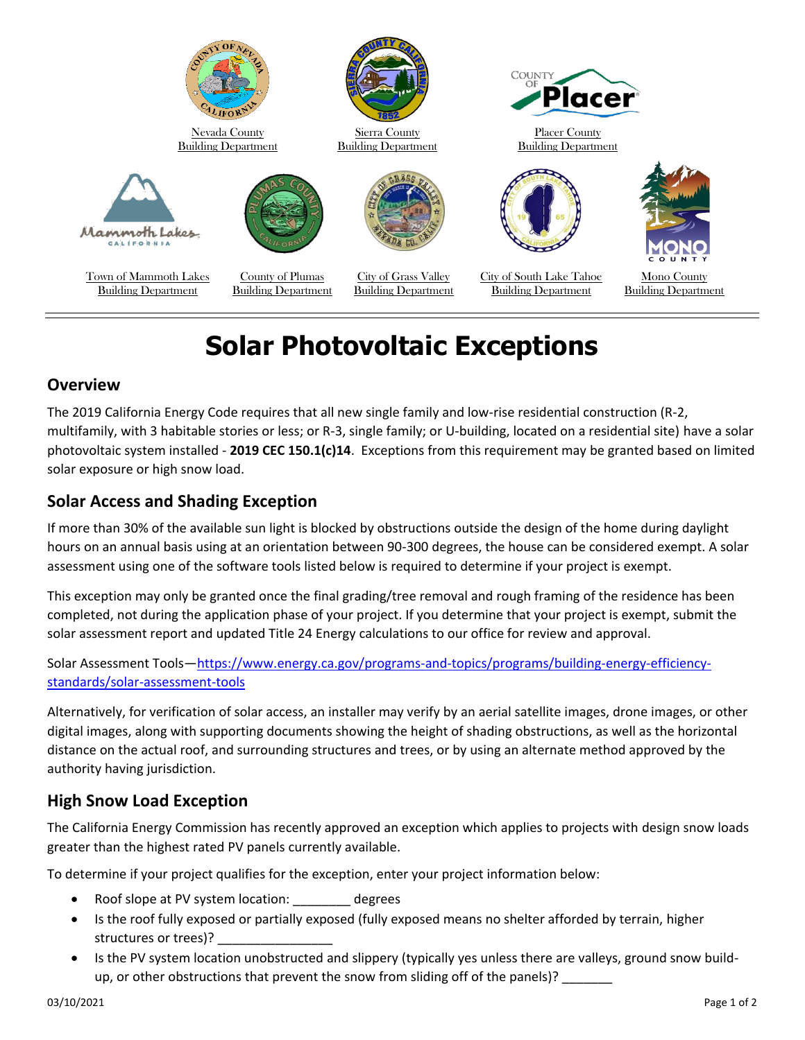

# **Solar Photovoltaic Exceptions**

### **Overview**

The 2019 California Energy Code requires that all new single family and low-rise residential construction (R-2, multifamily, with 3 habitable stories or less; or R-3, single family; or U-building, located on a residential site) have a solar photovoltaic system installed - **2019 CEC 150.1(c)14**. Exceptions from this requirement may be granted based on limited solar exposure or high snow load.

## **Solar Access and Shading Exception**

If more than 30% of the available sun light is blocked by obstructions outside the design of the home during daylight hours on an annual basis using at an orientation between 90-300 degrees, the house can be considered exempt. A solar assessment using one of the software tools listed below is required to determine if your project is exempt.

This exception may only be granted once the final grading/tree removal and rough framing of the residence has been completed, not during the application phase of your project. If you determine that your project is exempt, submit the solar assessment report and updated Title 24 Energy calculations to our office for review and approval.

#### Solar Assessment Tools—[https://www.energy.ca.gov/programs-and-topics/programs/building-energy-efficiency](https://www.energy.ca.gov/programs-and-topics/programs/building-energy-efficiency-standards/solar-assessment-tools)[standards/solar-assessment-tools](https://www.energy.ca.gov/programs-and-topics/programs/building-energy-efficiency-standards/solar-assessment-tools)

Alternatively, for verification of solar access, an installer may verify by an aerial satellite images, drone images, or other digital images, along with supporting documents showing the height of shading obstructions, as well as the horizontal distance on the actual roof, and surrounding structures and trees, or by using an alternate method approved by the authority having jurisdiction.

# **High Snow Load Exception**

The California Energy Commission has recently approved an exception which applies to projects with design snow loads greater than the highest rated PV panels currently available.

To determine if your project qualifies for the exception, enter your project information below:

- Roof slope at PV system location: \_\_\_\_\_\_\_\_ degrees
- Is the roof fully exposed or partially exposed (fully exposed means no shelter afforded by terrain, higher structures or trees)?
- Is the PV system location unobstructed and slippery (typically yes unless there are valleys, ground snow buildup, or other obstructions that prevent the snow from sliding off of the panels)?